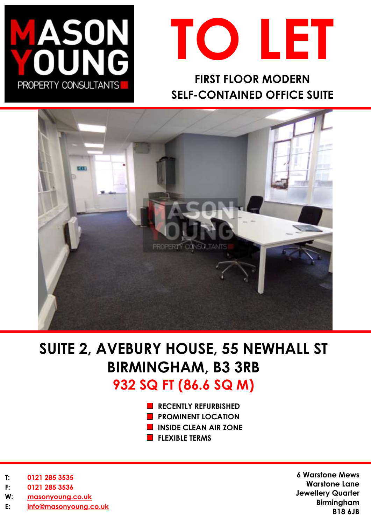



**FIRST FLOOR MODERN SELF-CONTAINED OFFICE SUITE** 



# **SUITE 2, AVEBURY HOUSE, 55 NEWHALL ST BIRMINGHAM, B3 3RB 932 SQ FT (86.6 SQ M)**

- **RECENTLY REFURBISHED**
- **PROMINENT LOCATION**
- **INSIDE CLEAN AIR ZONE**
- **FLEXIBLE TERMS**

- **T: 0121 285 3535**
- **F: 0121 285 3536**
- **W: [masonyoung.co.uk](http://www.masonyoung.co.uk/)**
- **E: [info@masonyoung.co.uk](mailto:info@masonyoung.co.uk)**

**6 Warstone Mews Warstone Lane Jewellery Quarter Birmingham B18 6JB**